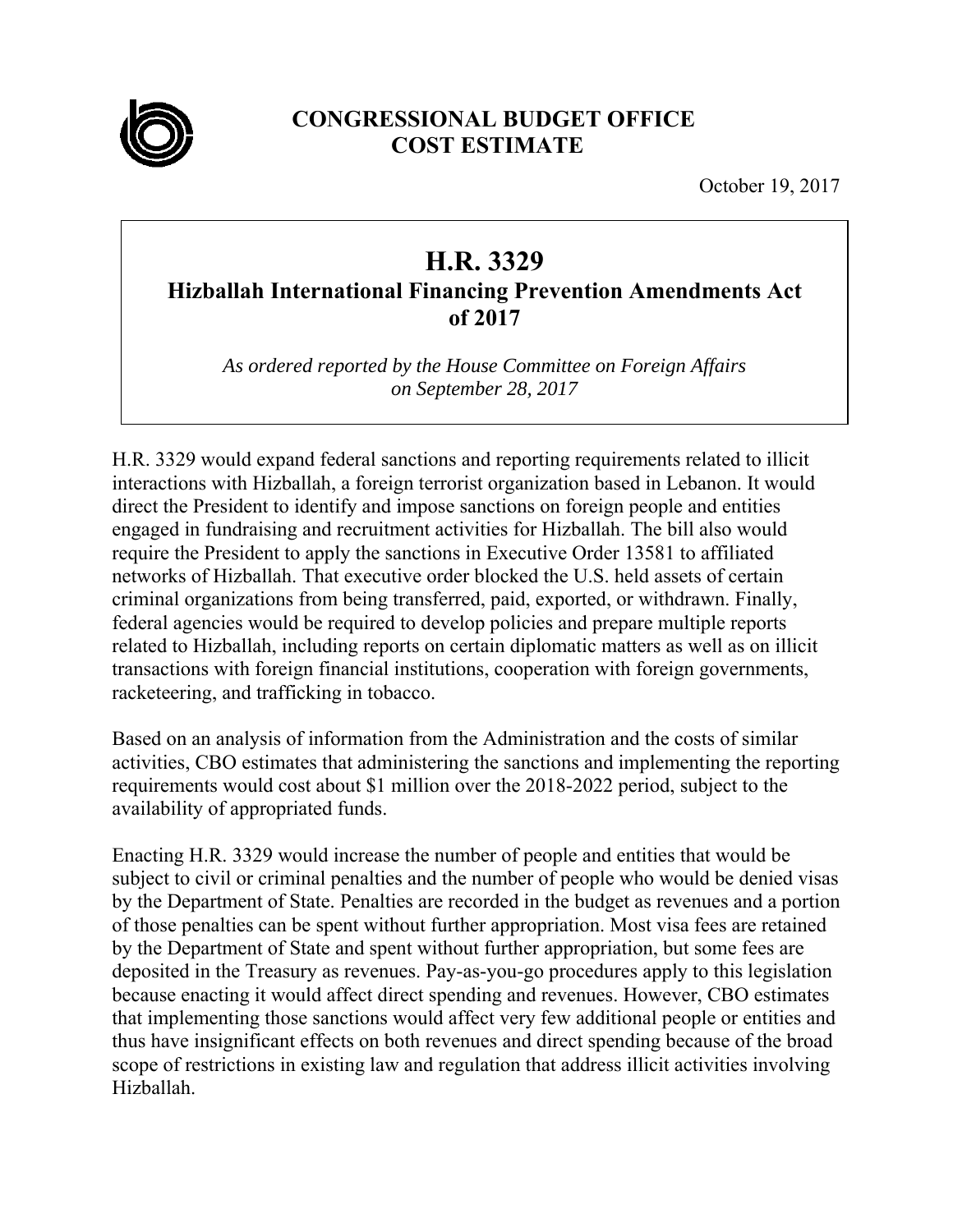

## **CONGRESSIONAL BUDGET OFFICE COST ESTIMATE**

October 19, 2017

## **H.R. 3329**

**Hizballah International Financing Prevention Amendments Act of 2017** 

*As ordered reported by the House Committee on Foreign Affairs on September 28, 2017* 

H.R. 3329 would expand federal sanctions and reporting requirements related to illicit interactions with Hizballah, a foreign terrorist organization based in Lebanon. It would direct the President to identify and impose sanctions on foreign people and entities engaged in fundraising and recruitment activities for Hizballah. The bill also would require the President to apply the sanctions in Executive Order 13581 to affiliated networks of Hizballah. That executive order blocked the U.S. held assets of certain criminal organizations from being transferred, paid, exported, or withdrawn. Finally, federal agencies would be required to develop policies and prepare multiple reports related to Hizballah, including reports on certain diplomatic matters as well as on illicit transactions with foreign financial institutions, cooperation with foreign governments, racketeering, and trafficking in tobacco.

Based on an analysis of information from the Administration and the costs of similar activities, CBO estimates that administering the sanctions and implementing the reporting requirements would cost about \$1 million over the 2018-2022 period, subject to the availability of appropriated funds.

Enacting H.R. 3329 would increase the number of people and entities that would be subject to civil or criminal penalties and the number of people who would be denied visas by the Department of State. Penalties are recorded in the budget as revenues and a portion of those penalties can be spent without further appropriation. Most visa fees are retained by the Department of State and spent without further appropriation, but some fees are deposited in the Treasury as revenues. Pay-as-you-go procedures apply to this legislation because enacting it would affect direct spending and revenues. However, CBO estimates that implementing those sanctions would affect very few additional people or entities and thus have insignificant effects on both revenues and direct spending because of the broad scope of restrictions in existing law and regulation that address illicit activities involving Hizballah.